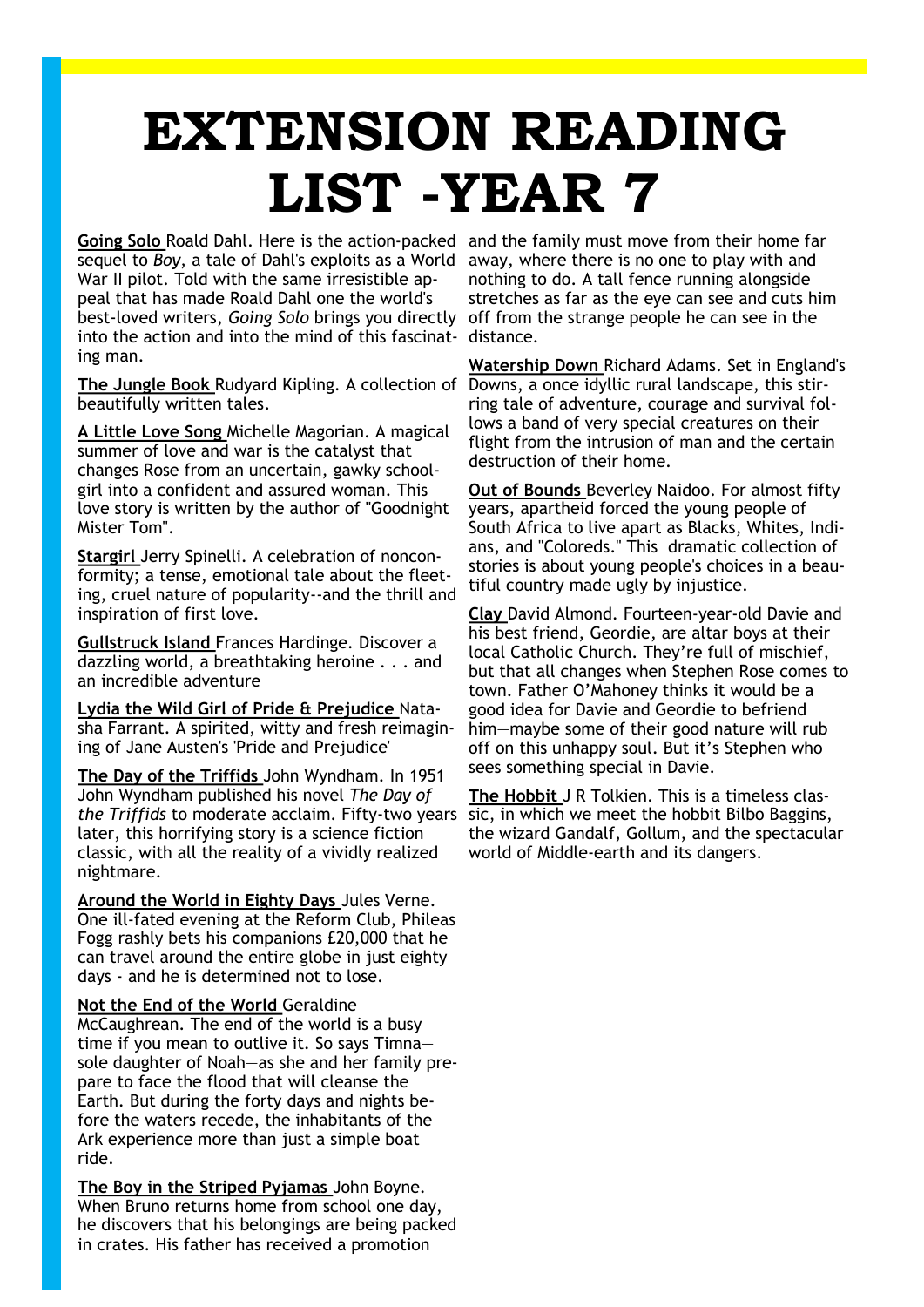## **EXTENSION READING LIST -YEAR 7**

**Going Solo** Roald Dahl. Here is the action-packed and the family must move from their home far sequel to Boy, a tale of Dahl's exploits as a World away, where there is no one to play with and War II pilot. Told with the same irresistible appeal that has made Roald Dahl one the world's best-loved writers, *Going Solo* brings you directly off from the strange people he can see in the into the action and into the mind of this fascinat-distance. ing man.

**The Jungle Book** Rudyard Kipling. A collection of Downs, a once idyllic rural landscape, this stirbeautifully written tales.

**A Little Love Song** Michelle Magorian. A magical summer of love and war is the catalyst that changes Rose from an uncertain, gawky schoolgirl into a confident and assured woman. This love story is written by the author of "Goodnight Mister Tom".

**Stargirl** Jerry Spinelli. A celebration of nonconformity; a tense, emotional tale about the fleeting, cruel nature of popularity--and the thrill and inspiration of first love.

**Gullstruck Island** Frances Hardinge. Discover a dazzling world, a breathtaking heroine . . . and an incredible adventure

**Lydia the Wild Girl of Pride & Prejudice** Natasha Farrant. A spirited, witty and fresh reimagining of Jane Austen's 'Pride and Prejudice'

**The Day of the Triffids** John Wyndham. In 1951 John Wyndham published his novel *The Day of the Triffids* to moderate acclaim. Fifty-two years later, this horrifying story is a science fiction classic, with all the reality of a vividly realized nightmare.

**Around the World in Eighty Days** Jules Verne. One ill-fated evening at the Reform Club, Phileas Fogg rashly bets his companions £20,000 that he can travel around the entire globe in just eighty days - and he is determined not to lose.

## **Not the End of the World** Geraldine

McCaughrean. The end of the world is a busy time if you mean to outlive it. So says Timna sole daughter of Noah—as she and her family prepare to face the flood that will cleanse the Earth. But during the forty days and nights before the waters recede, the inhabitants of the Ark experience more than just a simple boat ride.

**The Boy in the Striped Pyjamas** John Boyne. When Bruno returns home from school one day, he discovers that his belongings are being packed in crates. His father has received a promotion

nothing to do. A tall fence running alongside stretches as far as the eye can see and cuts him

**Watership Down** Richard Adams. Set in England's ring tale of adventure, courage and survival follows a band of very special creatures on their flight from the intrusion of man and the certain destruction of their home.

**Out of Bounds** Beverley Naidoo. For almost fifty years, apartheid forced the young people of South Africa to live apart as Blacks, Whites, Indians, and "Coloreds." This dramatic collection of stories is about young people's choices in a beautiful country made ugly by injustice.

**Clay** David Almond. Fourteen-year-old Davie and his best friend, Geordie, are altar boys at their local Catholic Church. They're full of mischief, but that all changes when Stephen Rose comes to town. Father O'Mahoney thinks it would be a good idea for Davie and Geordie to befriend him—maybe some of their good nature will rub off on this unhappy soul. But it's Stephen who sees something special in Davie.

**The Hobbit** J R Tolkien. This is a timeless classic, in which we meet the hobbit Bilbo Baggins, the wizard Gandalf, Gollum, and the spectacular world of Middle-earth and its dangers.